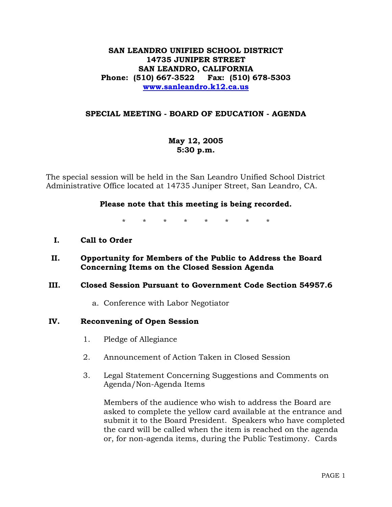## **SAN LEANDRO UNIFIED SCHOOL DISTRICT 14735 JUNIPER STREET SAN LEANDRO, CALIFORNIA Phone: (510) 667-3522 Fax: (510) 678-5303 www.sanleandro.k12.ca.us**

## **SPECIAL MEETING - BOARD OF EDUCATION - AGENDA**

# **May 12, 2005 5:30 p.m.**

The special session will be held in the San Leandro Unified School District Administrative Office located at 14735 Juniper Street, San Leandro, CA.

### **Please note that this meeting is being recorded.**

\* \* \* \* \* \* \* \*

- **I. Call to Order**
- **II. Opportunity for Members of the Public to Address the Board Concerning Items on the Closed Session Agenda**

#### **III. Closed Session Pursuant to Government Code Section 54957.6**

a. Conference with Labor Negotiator

#### **IV. Reconvening of Open Session**

- 1. Pledge of Allegiance
- 2. Announcement of Action Taken in Closed Session
- 3. Legal Statement Concerning Suggestions and Comments on Agenda/Non-Agenda Items

Members of the audience who wish to address the Board are asked to complete the yellow card available at the entrance and submit it to the Board President. Speakers who have completed the card will be called when the item is reached on the agenda or, for non-agenda items, during the Public Testimony. Cards